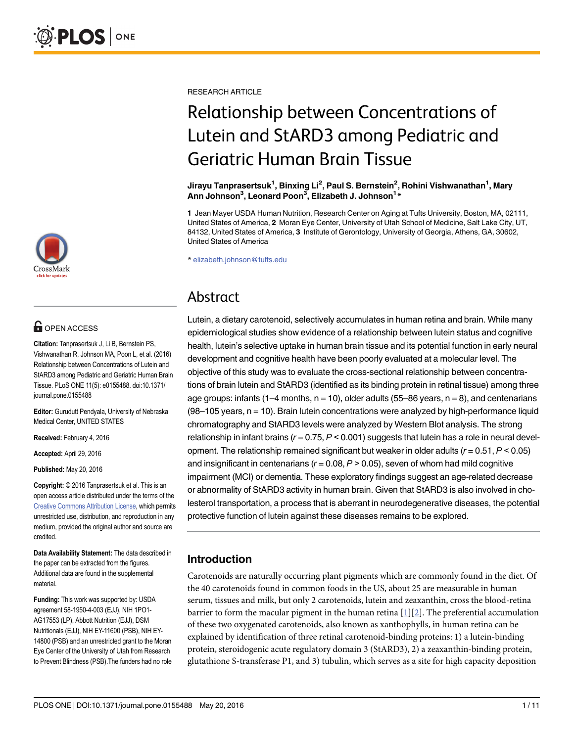

# **OPEN ACCESS**

Citation: Tanprasertsuk J, Li B, Bernstein PS, Vishwanathan R, Johnson MA, Poon L, et al. (2016) Relationship between Concentrations of Lutein and StARD3 among Pediatric and Geriatric Human Brain Tissue. PLoS ONE 11(5): e0155488. doi:10.1371/ journal.pone.0155488

Editor: Gurudutt Pendyala, University of Nebraska Medical Center, UNITED STATES

Received: February 4, 2016

Accepted: April 29, 2016

Published: May 20, 2016

Copyright: © 2016 Tanprasertsuk et al. This is an open access article distributed under the terms of the [Creative Commons Attribution License,](http://creativecommons.org/licenses/by/4.0/) which permits unrestricted use, distribution, and reproduction in any medium, provided the original author and source are credited.

Data Availability Statement: The data described in the paper can be extracted from the figures. Additional data are found in the supplemental material.

Funding: This work was supported by: USDA agreement 58-1950-4-003 (EJJ), NIH 1PO1- AG17553 (LP), Abbott Nutrition (EJJ), DSM Nutritionals (EJJ), NIH EY-11600 (PSB), NIH EY-14800 (PSB) and an unrestricted grant to the Moran Eye Center of the University of Utah from Research to Prevent Blindness (PSB).The funders had no role <span id="page-0-0"></span>RESEARCH ARTICLE

# Relationship between Concentrations of Lutein and StARD3 among Pediatric and Geriatric Human Brain Tissue

Jirayu Tanprasertsuk<sup>1</sup>, Binxing Li<sup>2</sup>, Paul S. Bernstein<sup>2</sup>, Rohini Vishwanathan<sup>1</sup>, Mary Ann Johnson<sup>3</sup>, Leonard Poon<sup>3</sup>, Elizabeth J. Johnson<sup>1</sup>\*

1 Jean Mayer USDA Human Nutrition, Research Center on Aging at Tufts University, Boston, MA, 02111, United States of America, 2 Moran Eye Center, University of Utah School of Medicine, Salt Lake City, UT, 84132, United States of America, 3 Institute of Gerontology, University of Georgia, Athens, GA, 30602, United States of America

\* elizabeth.johnson@tufts.edu

# Abstract

Lutein, a dietary carotenoid, selectively accumulates in human retina and brain. While many epidemiological studies show evidence of a relationship between lutein status and cognitive health, lutein's selective uptake in human brain tissue and its potential function in early neural development and cognitive health have been poorly evaluated at a molecular level. The objective of this study was to evaluate the cross-sectional relationship between concentrations of brain lutein and StARD3 (identified as its binding protein in retinal tissue) among three age groups: infants (1–4 months,  $n = 10$ ), older adults (55–86 years,  $n = 8$ ), and centenarians  $(98-105$  years,  $n = 10$ ). Brain lutein concentrations were analyzed by high-performance liquid chromatography and StARD3 levels were analyzed by Western Blot analysis. The strong relationship in infant brains ( $r = 0.75$ ,  $P < 0.001$ ) suggests that lutein has a role in neural development. The relationship remained significant but weaker in older adults  $(r = 0.51, P < 0.05)$ and insignificant in centenarians ( $r = 0.08$ ,  $P > 0.05$ ), seven of whom had mild cognitive impairment (MCI) or dementia. These exploratory findings suggest an age-related decrease or abnormality of StARD3 activity in human brain. Given that StARD3 is also involved in cholesterol transportation, a process that is aberrant in neurodegenerative diseases, the potential protective function of lutein against these diseases remains to be explored.

# Introduction

Carotenoids are naturally occurring plant pigments which are commonly found in the diet. Of the 40 carotenoids found in common foods in the US, about 25 are measurable in human serum, tissues and milk, but only 2 carotenoids, lutein and zeaxanthin, cross the blood-retina barrier to form the macular pigment in the human retina  $[1][2]$  $[1][2]$  $[1][2]$  $[1][2]$  $[1][2]$ . The preferential accumulation of these two oxygenated carotenoids, also known as xanthophylls, in human retina can be explained by identification of three retinal carotenoid-binding proteins: 1) a lutein-binding protein, steroidogenic acute regulatory domain 3 (StARD3), 2) a zeaxanthin-binding protein, glutathione S-transferase P1, and 3) tubulin, which serves as a site for high capacity deposition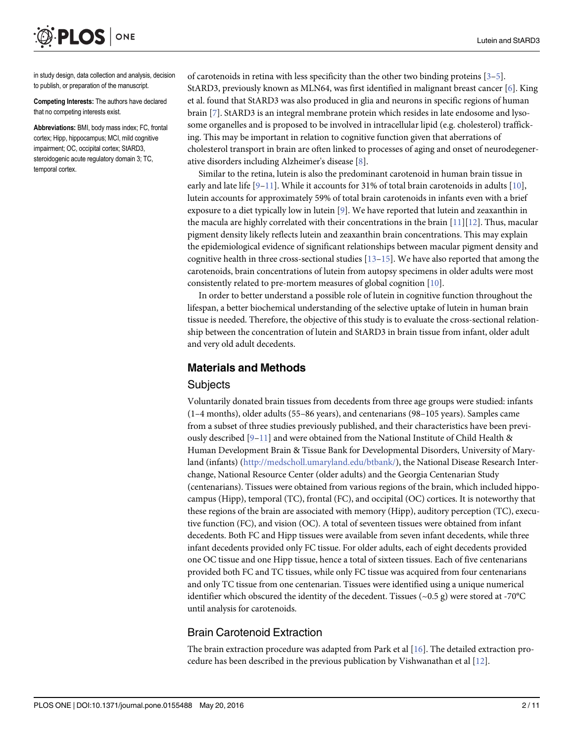<span id="page-1-0"></span>ONE **PLOS** I

in study design, data collection and analysis, decision to publish, or preparation of the manuscript.

Competing Interests: The authors have declared that no competing interests exist.

Abbreviations: BMI, body mass index; FC, frontal cortex; Hipp, hippocampus; MCI, mild cognitive impairment; OC, occipital cortex; StARD3, steroidogenic acute regulatory domain 3; TC, temporal cortex.

of carotenoids in retina with less specificity than the other two binding proteins [\[3](#page-9-0)–[5\]](#page-9-0). StARD3, previously known as MLN64, was first identified in malignant breast cancer [[6\]](#page-9-0). King et al. found that StARD3 was also produced in glia and neurons in specific regions of human brain [[7](#page-9-0)]. StARD3 is an integral membrane protein which resides in late endosome and lysosome organelles and is proposed to be involved in intracellular lipid (e.g. cholesterol) trafficking. This may be important in relation to cognitive function given that aberrations of cholesterol transport in brain are often linked to processes of aging and onset of neurodegenerative disorders including Alzheimer's disease [[8](#page-9-0)].

Similar to the retina, lutein is also the predominant carotenoid in human brain tissue in early and late life [[9](#page-9-0)–[11](#page-10-0)]. While it accounts for 31% of total brain carotenoids in adults [[10](#page-9-0)], lutein accounts for approximately 59% of total brain carotenoids in infants even with a brief exposure to a diet typically low in lutein [\[9\]](#page-9-0). We have reported that lutein and zeaxanthin in the macula are highly correlated with their concentrations in the brain [\[11\]](#page-10-0)[[12](#page-10-0)]. Thus, macular pigment density likely reflects lutein and zeaxanthin brain concentrations. This may explain the epidemiological evidence of significant relationships between macular pigment density and cognitive health in three cross-sectional studies  $[13-15]$  $[13-15]$  $[13-15]$  $[13-15]$ . We have also reported that among the carotenoids, brain concentrations of lutein from autopsy specimens in older adults were most consistently related to pre-mortem measures of global cognition [[10](#page-9-0)].

In order to better understand a possible role of lutein in cognitive function throughout the lifespan, a better biochemical understanding of the selective uptake of lutein in human brain tissue is needed. Therefore, the objective of this study is to evaluate the cross-sectional relationship between the concentration of lutein and StARD3 in brain tissue from infant, older adult and very old adult decedents.

# Materials and Methods

#### **Subjects**

Voluntarily donated brain tissues from decedents from three age groups were studied: infants (1–4 months), older adults (55–86 years), and centenarians (98–105 years). Samples came from a subset of three studies previously published, and their characteristics have been previously described  $[9-11]$  $[9-11]$  $[9-11]$  $[9-11]$  $[9-11]$  and were obtained from the National Institute of Child Health & Human Development Brain & Tissue Bank for Developmental Disorders, University of Maryland (infants) (<http://medscholl.umaryland.edu/btbank/>), the National Disease Research Interchange, National Resource Center (older adults) and the Georgia Centenarian Study (centenarians). Tissues were obtained from various regions of the brain, which included hippocampus (Hipp), temporal (TC), frontal (FC), and occipital (OC) cortices. It is noteworthy that these regions of the brain are associated with memory (Hipp), auditory perception (TC), executive function (FC), and vision (OC). A total of seventeen tissues were obtained from infant decedents. Both FC and Hipp tissues were available from seven infant decedents, while three infant decedents provided only FC tissue. For older adults, each of eight decedents provided one OC tissue and one Hipp tissue, hence a total of sixteen tissues. Each of five centenarians provided both FC and TC tissues, while only FC tissue was acquired from four centenarians and only TC tissue from one centenarian. Tissues were identified using a unique numerical identifier which obscured the identity of the decedent. Tissues ( $\sim$ 0.5 g) were stored at -70°C until analysis for carotenoids.

# Brain Carotenoid Extraction

The brain extraction procedure was adapted from Park et al [\[16](#page-10-0)]. The detailed extraction procedure has been described in the previous publication by Vishwanathan et al  $[12]$  $[12]$  $[12]$ .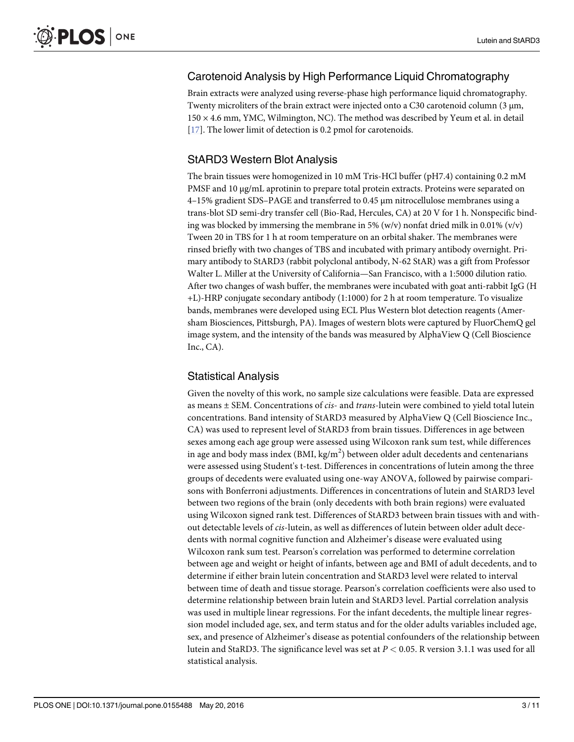# <span id="page-2-0"></span>Carotenoid Analysis by High Performance Liquid Chromatography

Brain extracts were analyzed using reverse-phase high performance liquid chromatography. Twenty microliters of the brain extract were injected onto a C30 carotenoid column (3 μm, 150 × 4.6 mm, YMC, Wilmington, NC). The method was described by Yeum et al. in detail [\[17](#page-10-0)]. The lower limit of detection is 0.2 pmol for carotenoids.

# StARD3 Western Blot Analysis

The brain tissues were homogenized in 10 mM Tris-HCl buffer (pH7.4) containing 0.2 mM PMSF and 10 μg/mL aprotinin to prepare total protein extracts. Proteins were separated on 4–15% gradient SDS–PAGE and transferred to 0.45 μm nitrocellulose membranes using a trans-blot SD semi-dry transfer cell (Bio-Rad, Hercules, CA) at 20 V for 1 h. Nonspecific binding was blocked by immersing the membrane in 5% (w/v) nonfat dried milk in 0.01% (v/v) Tween 20 in TBS for 1 h at room temperature on an orbital shaker. The membranes were rinsed briefly with two changes of TBS and incubated with primary antibody overnight. Primary antibody to StARD3 (rabbit polyclonal antibody, N-62 StAR) was a gift from Professor Walter L. Miller at the University of California—San Francisco, with a 1:5000 dilution ratio. After two changes of wash buffer, the membranes were incubated with goat anti-rabbit IgG (H +L)-HRP conjugate secondary antibody (1:1000) for 2 h at room temperature. To visualize bands, membranes were developed using ECL Plus Western blot detection reagents (Amersham Biosciences, Pittsburgh, PA). Images of western blots were captured by FluorChemQ gel image system, and the intensity of the bands was measured by AlphaView Q (Cell Bioscience  $Inc., CA$ ).

# Statistical Analysis

Given the novelty of this work, no sample size calculations were feasible. Data are expressed as means  $\pm$  SEM. Concentrations of *cis*- and *trans*-lutein were combined to yield total lutein concentrations. Band intensity of StARD3 measured by AlphaView Q (Cell Bioscience Inc., CA) was used to represent level of StARD3 from brain tissues. Differences in age between sexes among each age group were assessed using Wilcoxon rank sum test, while differences in age and body mass index (BMI, kg/m $^2$ ) between older adult decedents and centenarians were assessed using Student's t-test. Differences in concentrations of lutein among the three groups of decedents were evaluated using one-way ANOVA, followed by pairwise comparisons with Bonferroni adjustments. Differences in concentrations of lutein and StARD3 level between two regions of the brain (only decedents with both brain regions) were evaluated using Wilcoxon signed rank test. Differences of StARD3 between brain tissues with and without detectable levels of cis-lutein, as well as differences of lutein between older adult decedents with normal cognitive function and Alzheimer's disease were evaluated using Wilcoxon rank sum test. Pearson's correlation was performed to determine correlation between age and weight or height of infants, between age and BMI of adult decedents, and to determine if either brain lutein concentration and StARD3 level were related to interval between time of death and tissue storage. Pearson's correlation coefficients were also used to determine relationship between brain lutein and StARD3 level. Partial correlation analysis was used in multiple linear regressions. For the infant decedents, the multiple linear regression model included age, sex, and term status and for the older adults variables included age, sex, and presence of Alzheimer's disease as potential confounders of the relationship between lutein and StaRD3. The significance level was set at  $P < 0.05$ . R version 3.1.1 was used for all statistical analysis.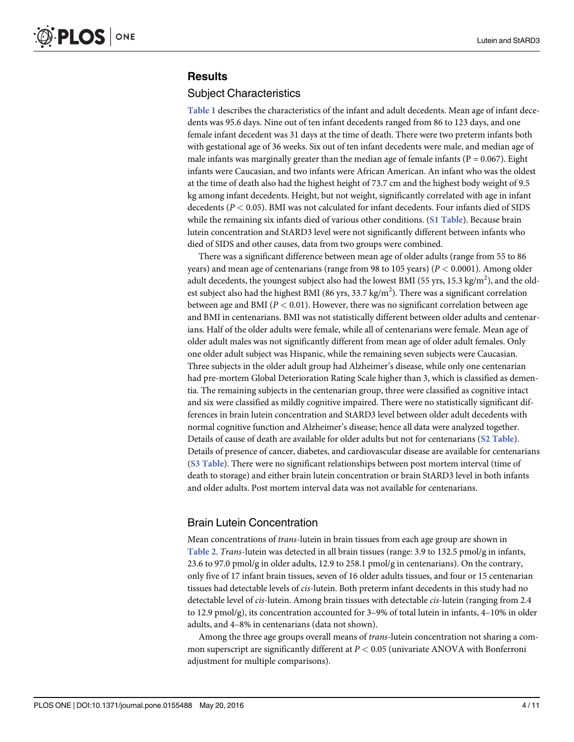# <span id="page-3-0"></span>**Results**

#### Subject Characteristics

[Table 1](#page-4-0) describes the characteristics of the infant and adult decedents. Mean age of infant decedents was 95.6 days. Nine out of ten infant decedents ranged from 86 to 123 days, and one female infant decedent was 31 days at the time of death. There were two preterm infants both with gestational age of 36 weeks. Six out of ten infant decedents were male, and median age of male infants was marginally greater than the median age of female infants ( $P = 0.067$ ). Eight infants were Caucasian, and two infants were African American. An infant who was the oldest at the time of death also had the highest height of 73.7 cm and the highest body weight of 9.5 kg among infant decedents. Height, but not weight, significantly correlated with age in infant decedents ( $P < 0.05$ ). BMI was not calculated for infant decedents. Four infants died of SIDS while the remaining six infants died of various other conditions. ([S1 Table](#page-9-0)). Because brain lutein concentration and StARD3 level were not significantly different between infants who died of SIDS and other causes, data from two groups were combined.

There was a significant difference between mean age of older adults (range from 55 to 86 years) and mean age of centenarians (range from 98 to 105 years) ( $P < 0.0001$ ). Among older adult decedents, the youngest subject also had the lowest BMI (55 yrs, 15.3 kg/m<sup>2</sup>), and the oldest subject also had the highest BMI (86 yrs, 33.7 kg/m<sup>2</sup>). There was a significant correlation between age and BMI ( $P < 0.01$ ). However, there was no significant correlation between age and BMI in centenarians. BMI was not statistically different between older adults and centenarians. Half of the older adults were female, while all of centenarians were female. Mean age of older adult males was not significantly different from mean age of older adult females. Only one older adult subject was Hispanic, while the remaining seven subjects were Caucasian. Three subjects in the older adult group had Alzheimer's disease, while only one centenarian had pre-mortem Global Deterioration Rating Scale higher than 3, which is classified as dementia. The remaining subjects in the centenarian group, three were classified as cognitive intact and six were classified as mildly cognitive impaired. There were no statistically significant differences in brain lutein concentration and StARD3 level between older adult decedents with normal cognitive function and Alzheimer's disease; hence all data were analyzed together. Details of cause of death are available for older adults but not for centenarians ([S2 Table](#page-9-0)). Details of presence of cancer, diabetes, and cardiovascular disease are available for centenarians ([S3 Table](#page-9-0)). There were no significant relationships between post mortem interval (time of death to storage) and either brain lutein concentration or brain StARD3 level in both infants and older adults. Post mortem interval data was not available for centenarians.

# Brain Lutein Concentration

Mean concentrations of trans-lutein in brain tissues from each age group are shown in [Table 2](#page-5-0). Trans-lutein was detected in all brain tissues (range: 3.9 to 132.5 pmol/g in infants, 23.6 to 97.0 pmol/g in older adults, 12.9 to 258.1 pmol/g in centenarians). On the contrary, only five of 17 infant brain tissues, seven of 16 older adults tissues, and four or 15 centenarian tissues had detectable levels of cis-lutein. Both preterm infant decedents in this study had no detectable level of cis-lutein. Among brain tissues with detectable cis-lutein (ranging from 2.4 to 12.9 pmol/g), its concentration accounted for 3–9% of total lutein in infants, 4–10% in older adults, and 4–8% in centenarians (data not shown).

Among the three age groups overall means of *trans*-lutein concentration not sharing a common superscript are significantly different at  $P < 0.05$  (univariate ANOVA with Bonferroni adjustment for multiple comparisons).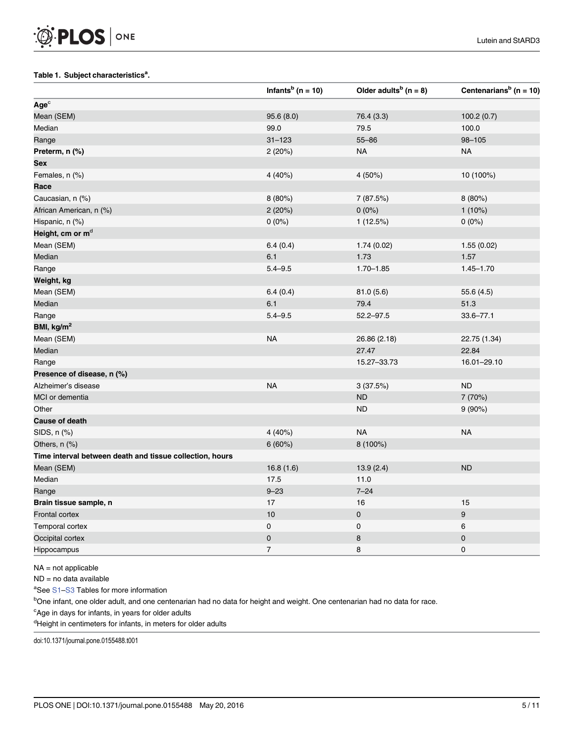#### <span id="page-4-0"></span>[Table 1.](#page-3-0) Subject characteristics<sup>a</sup>.

|                                                          | Infants <sup>b</sup> (n = 10) | Older adults <sup>b</sup> ( $n = 8$ ) | Centenarians <sup>b</sup> (n = 10) |
|----------------------------------------------------------|-------------------------------|---------------------------------------|------------------------------------|
| $Age^c$                                                  |                               |                                       |                                    |
| Mean (SEM)                                               | 95.6(8.0)                     | 76.4 (3.3)                            | 100.2(0.7)                         |
| Median                                                   | 99.0                          | 79.5                                  | 100.0                              |
| Range                                                    | $31 - 123$                    | $55 - 86$                             | $98 - 105$                         |
| Preterm, n (%)                                           | 2 (20%)                       | <b>NA</b>                             | <b>NA</b>                          |
| Sex                                                      |                               |                                       |                                    |
| Females, n (%)                                           | 4 (40%)                       | 4 (50%)                               | 10 (100%)                          |
| Race                                                     |                               |                                       |                                    |
| Caucasian, n (%)                                         | 8 (80%)                       | 7 (87.5%)                             | 8 (80%)                            |
| African American, n (%)                                  | 2(20%)                        | $0(0\%)$                              | 1(10%)                             |
| Hispanic, n (%)                                          | $0(0\%)$                      | 1(12.5%)                              | $0(0\%)$                           |
| Height, cm or m <sup>d</sup>                             |                               |                                       |                                    |
| Mean (SEM)                                               | 6.4(0.4)                      | 1.74(0.02)                            | 1.55(0.02)                         |
| Median                                                   | 6.1                           | 1.73                                  | 1.57                               |
| Range                                                    | $5.4 - 9.5$                   | $1.70 - 1.85$                         | $1.45 - 1.70$                      |
| Weight, kg                                               |                               |                                       |                                    |
| Mean (SEM)                                               | 6.4(0.4)                      | 81.0(5.6)                             | 55.6 (4.5)                         |
| Median                                                   | 6.1                           | 79.4                                  | 51.3                               |
| Range                                                    | $5.4 - 9.5$                   | $52.2 - 97.5$                         | $33.6 - 77.1$                      |
| BMI, kg/m <sup>2</sup>                                   |                               |                                       |                                    |
| Mean (SEM)                                               | <b>NA</b>                     | 26.86 (2.18)                          | 22.75 (1.34)                       |
| Median                                                   |                               | 27.47                                 | 22.84                              |
| Range                                                    |                               | 15.27-33.73                           | 16.01-29.10                        |
| Presence of disease, n (%)                               |                               |                                       |                                    |
| Alzheimer's disease                                      | <b>NA</b>                     | 3(37.5%)                              | <b>ND</b>                          |
| MCI or dementia                                          |                               | <b>ND</b>                             | 7 (70%)                            |
| Other                                                    |                               | <b>ND</b>                             | 9(90%)                             |
| <b>Cause of death</b>                                    |                               |                                       |                                    |
| SIDS, n (%)                                              | 4 (40%)                       | <b>NA</b>                             | <b>NA</b>                          |
| Others, $n$ $%$                                          | 6(60%)                        | 8 (100%)                              |                                    |
| Time interval between death and tissue collection, hours |                               |                                       |                                    |
| Mean (SEM)                                               | 16.8(1.6)                     | 13.9(2.4)                             | <b>ND</b>                          |
| Median                                                   | 17.5                          | 11.0                                  |                                    |
| Range                                                    | $9 - 23$                      | $7 - 24$                              |                                    |
| Brain tissue sample, n                                   | $17$                          | 16                                    | 15                                 |
| Frontal cortex                                           | 10                            | $\pmb{0}$                             | 9                                  |
| Temporal cortex                                          | 0                             | 0                                     | 6                                  |
| Occipital cortex                                         | $\pmb{0}$                     | 8                                     | $\pmb{0}$                          |
| Hippocampus                                              | $\boldsymbol{7}$              | 8                                     | 0                                  |

NA = not applicable

ND = no data available

<sup>a</sup>See **[S1](#page-9-0)-[S3](#page-9-0)** Tables for more information

<sup>b</sup>One infant, one older adult, and one centenarian had no data for height and weight. One centenarian had no data for race.

<sup>c</sup>Age in days for infants, in years for older adults

<sup>d</sup>Height in centimeters for infants, in meters for older adults

doi:10.1371/journal.pone.0155488.t001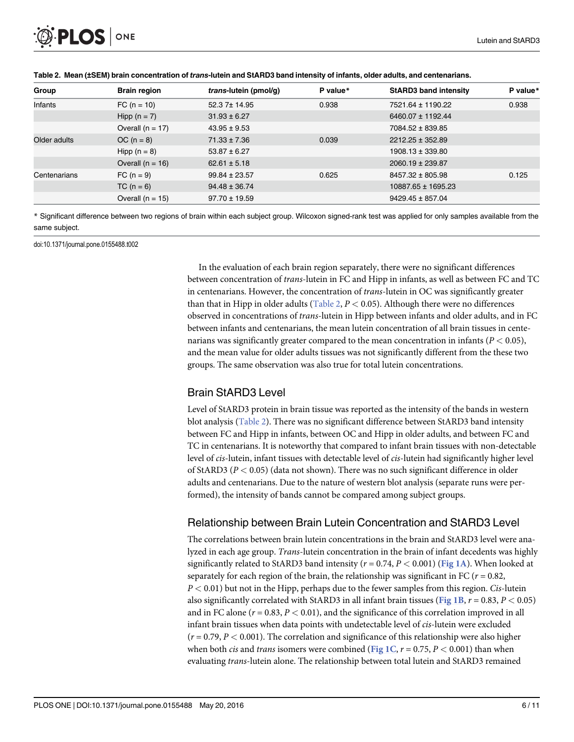<span id="page-5-0"></span>

| Group        | <b>Brain region</b> | trans-lutein (pmol/g) | P value* | <b>StARD3 band intensity</b> | P value* |
|--------------|---------------------|-----------------------|----------|------------------------------|----------|
| Infants      | $FC (n = 10)$       | 52.3 7± 14.95         | 0.938    | 7521.64 ± 1190.22            | 0.938    |
|              | Hipp $(n = 7)$      | $31.93 \pm 6.27$      |          | 6460.07 ± 1192.44            |          |
|              | Overall $(n = 17)$  | $43.95 \pm 9.53$      |          | 7084.52 ± 839.85             |          |
| Older adults | $OC (n = 8)$        | $71.33 \pm 7.36$      | 0.039    | 2212.25 ± 352.89             |          |
|              | Hipp $(n = 8)$      | $53.87 \pm 6.27$      |          | $1908.13 \pm 339.80$         |          |
|              | Overall $(n = 16)$  | $62.61 \pm 5.18$      |          | $2060.19 \pm 239.87$         |          |
| Centenarians | $FC (n = 9)$        | $99.84 \pm 23.57$     | 0.625    | 8457.32 ± 805.98             | 0.125    |
|              | $TC (n = 6)$        | $94.48 \pm 36.74$     |          | 10887.65 ± 1695.23           |          |
|              | Overall $(n = 15)$  | $97.70 \pm 19.59$     |          | $9429.45 \pm 857.04$         |          |

[Table 2.](#page-3-0) Mean (±SEM) brain concentration of trans-lutein and StARD3 band intensity of infants, older adults, and centenarians.

\* Significant difference between two regions of brain within each subject group. Wilcoxon signed-rank test was applied for only samples available from the same subject.

doi:10.1371/journal.pone.0155488.t002

In the evaluation of each brain region separately, there were no significant differences between concentration of trans-lutein in FC and Hipp in infants, as well as between FC and TC in centenarians. However, the concentration of trans-lutein in OC was significantly greater than that in Hipp in older adults ( $Table 2, P < 0.05$ ). Although there were no differences observed in concentrations of trans-lutein in Hipp between infants and older adults, and in FC between infants and centenarians, the mean lutein concentration of all brain tissues in centenarians was significantly greater compared to the mean concentration in infants ( $P < 0.05$ ), and the mean value for older adults tissues was not significantly different from the these two groups. The same observation was also true for total lutein concentrations.

#### Brain StARD3 Level

Level of StARD3 protein in brain tissue was reported as the intensity of the bands in western blot analysis (Table 2). There was no significant difference between StARD3 band intensity between FC and Hipp in infants, between OC and Hipp in older adults, and between FC and TC in centenarians. It is noteworthy that compared to infant brain tissues with non-detectable level of cis-lutein, infant tissues with detectable level of cis-lutein had significantly higher level of StARD3 ( $P < 0.05$ ) (data not shown). There was no such significant difference in older adults and centenarians. Due to the nature of western blot analysis (separate runs were performed), the intensity of bands cannot be compared among subject groups.

# Relationship between Brain Lutein Concentration and StARD3 Level

The correlations between brain lutein concentrations in the brain and StARD3 level were analyzed in each age group. Trans-lutein concentration in the brain of infant decedents was highly significantly related to StARD3 band intensity ( $r = 0.74$ ,  $P < 0.001$ ) ([Fig 1A](#page-6-0)). When looked at separately for each region of the brain, the relationship was significant in FC ( $r = 0.82$ ,  $P < 0.01$ ) but not in the Hipp, perhaps due to the fewer samples from this region. *Cis*-lutein also significantly correlated with StARD3 in all infant brain tissues ([Fig 1B](#page-6-0),  $r = 0.83$ ,  $P < 0.05$ ) and in FC alone ( $r = 0.83$ ,  $P < 0.01$ ), and the significance of this correlation improved in all infant brain tissues when data points with undetectable level of cis-lutein were excluded  $(r = 0.79, P < 0.001)$ . The correlation and significance of this relationship were also higher when both *cis* and *trans* isomers were combined ([Fig 1C](#page-6-0),  $r = 0.75$ ,  $P < 0.001$ ) than when evaluating trans-lutein alone. The relationship between total lutein and StARD3 remained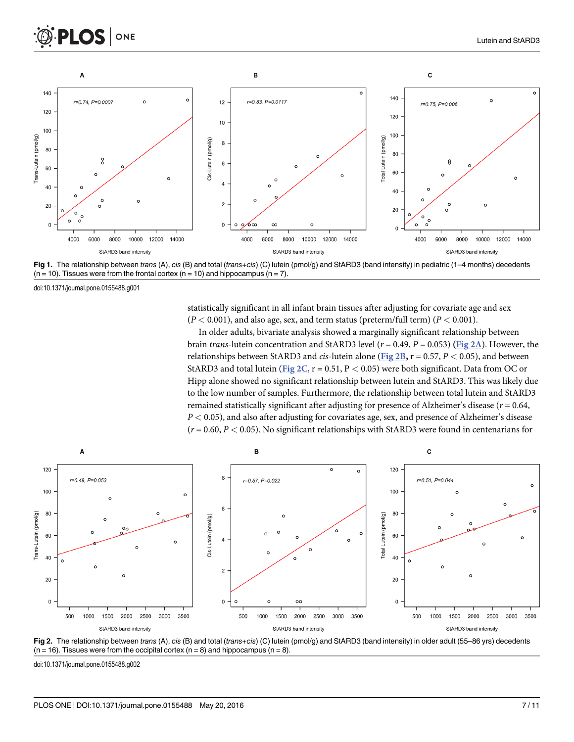<span id="page-6-0"></span>



[Fig 1.](#page-5-0) The relationship between trans (A), cis (B) and total (trans+cis) (C) lutein (pmol/g) and StARD3 (band intensity) in pediatric (1–4 months) decedents  $(n = 10)$ . Tissues were from the frontal cortex  $(n = 10)$  and hippocampus  $(n = 7)$ .

doi:10.1371/journal.pone.0155488.g001

statistically significant in all infant brain tissues after adjusting for covariate age and sex  $(P < 0.001)$ , and also age, sex, and term status (preterm/full term)  $(P < 0.001)$ .

In older adults, bivariate analysis showed a marginally significant relationship between brain trans-lutein concentration and StARD3 level ( $r = 0.49$ ,  $P = 0.053$ ) (Fig 2A). However, the relationships between StARD3 and *cis*-lutein alone (Fig 2B,  $r = 0.57$ ,  $P < 0.05$ ), and between StARD3 and total lutein (Fig 2C,  $r = 0.51$ ,  $P < 0.05$ ) were both significant. Data from OC or Hipp alone showed no significant relationship between lutein and StARD3. This was likely due to the low number of samples. Furthermore, the relationship between total lutein and StARD3 remained statistically significant after adjusting for presence of Alzheimer's disease ( $r = 0.64$ ,  $P < 0.05$ ), and also after adjusting for covariates age, sex, and presence of Alzheimer's disease  $(r = 0.60, P < 0.05)$ . No significant relationships with StARD3 were found in centenarians for



Fig 2. The relationship between trans (A), cis (B) and total (trans+cis) (C) lutein (pmol/g) and StARD3 (band intensity) in older adult (55–86 yrs) decedents  $(n = 16)$ . Tissues were from the occipital cortex  $(n = 8)$  and hippocampus  $(n = 8)$ .

doi:10.1371/journal.pone.0155488.g002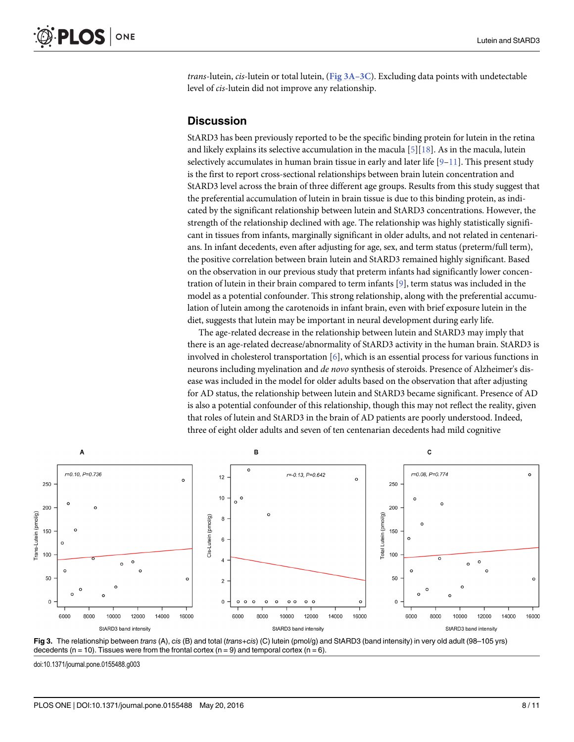<span id="page-7-0"></span>*trans*-lutein, *cis*-lutein or total lutein, (Fig  $3A-3C$ ). Excluding data points with undetectable level of cis-lutein did not improve any relationship.

# **Discussion**

StARD3 has been previously reported to be the specific binding protein for lutein in the retina and likely explains its selective accumulation in the macula  $[5][18]$  $[5][18]$  $[5][18]$  $[5][18]$ . As in the macula, lutein selectively accumulates in human brain tissue in early and later life  $[9-11]$  $[9-11]$  $[9-11]$  $[9-11]$  $[9-11]$ . This present study is the first to report cross-sectional relationships between brain lutein concentration and StARD3 level across the brain of three different age groups. Results from this study suggest that the preferential accumulation of lutein in brain tissue is due to this binding protein, as indicated by the significant relationship between lutein and StARD3 concentrations. However, the strength of the relationship declined with age. The relationship was highly statistically significant in tissues from infants, marginally significant in older adults, and not related in centenarians. In infant decedents, even after adjusting for age, sex, and term status (preterm/full term), the positive correlation between brain lutein and StARD3 remained highly significant. Based on the observation in our previous study that preterm infants had significantly lower concentration of lutein in their brain compared to term infants [[9](#page-9-0)], term status was included in the model as a potential confounder. This strong relationship, along with the preferential accumulation of lutein among the carotenoids in infant brain, even with brief exposure lutein in the diet, suggests that lutein may be important in neural development during early life.

The age-related decrease in the relationship between lutein and StARD3 may imply that there is an age-related decrease/abnormality of StARD3 activity in the human brain. StARD3 is involved in cholesterol transportation [[6\]](#page-9-0), which is an essential process for various functions in neurons including myelination and *de novo* synthesis of steroids. Presence of Alzheimer's disease was included in the model for older adults based on the observation that after adjusting for AD status, the relationship between lutein and StARD3 became significant. Presence of AD is also a potential confounder of this relationship, though this may not reflect the reality, given that roles of lutein and StARD3 in the brain of AD patients are poorly understood. Indeed, three of eight older adults and seven of ten centenarian decedents had mild cognitive





doi:10.1371/journal.pone.0155488.g003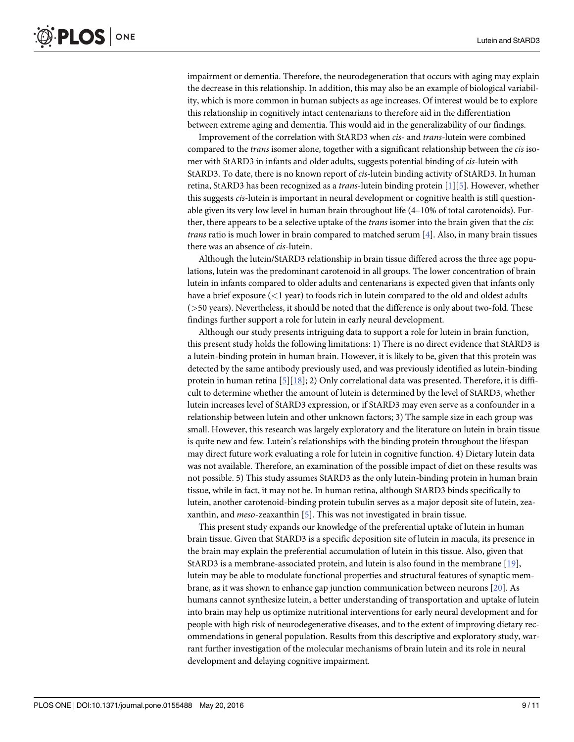<span id="page-8-0"></span>impairment or dementia. Therefore, the neurodegeneration that occurs with aging may explain the decrease in this relationship. In addition, this may also be an example of biological variability, which is more common in human subjects as age increases. Of interest would be to explore this relationship in cognitively intact centenarians to therefore aid in the differentiation between extreme aging and dementia. This would aid in the generalizability of our findings.

Improvement of the correlation with StARD3 when cis- and trans-lutein were combined compared to the *trans* isomer alone, together with a significant relationship between the *cis* isomer with StARD3 in infants and older adults, suggests potential binding of cis-lutein with StARD3. To date, there is no known report of cis-lutein binding activity of StARD3. In human retina, StARD3 has been recognized as a *trans*-lutein binding protein  $[1][5]$  $[1][5]$  $[1][5]$ . However, whether this suggests cis-lutein is important in neural development or cognitive health is still questionable given its very low level in human brain throughout life (4–10% of total carotenoids). Further, there appears to be a selective uptake of the *trans* isomer into the brain given that the *cis*: trans ratio is much lower in brain compared to matched serum [[4\]](#page-9-0). Also, in many brain tissues there was an absence of cis-lutein.

Although the lutein/StARD3 relationship in brain tissue differed across the three age populations, lutein was the predominant carotenoid in all groups. The lower concentration of brain lutein in infants compared to older adults and centenarians is expected given that infants only have a brief exposure  $(<1$  year) to foods rich in lutein compared to the old and oldest adults (>50 years). Nevertheless, it should be noted that the difference is only about two-fold. These findings further support a role for lutein in early neural development.

Although our study presents intriguing data to support a role for lutein in brain function, this present study holds the following limitations: 1) There is no direct evidence that StARD3 is a lutein-binding protein in human brain. However, it is likely to be, given that this protein was detected by the same antibody previously used, and was previously identified as lutein-binding protein in human retina  $[5][18]$  $[5][18]$  $[5][18]$  $[5][18]$ ; 2) Only correlational data was presented. Therefore, it is difficult to determine whether the amount of lutein is determined by the level of StARD3, whether lutein increases level of StARD3 expression, or if StARD3 may even serve as a confounder in a relationship between lutein and other unknown factors; 3) The sample size in each group was small. However, this research was largely exploratory and the literature on lutein in brain tissue is quite new and few. Lutein's relationships with the binding protein throughout the lifespan may direct future work evaluating a role for lutein in cognitive function. 4) Dietary lutein data was not available. Therefore, an examination of the possible impact of diet on these results was not possible. 5) This study assumes StARD3 as the only lutein-binding protein in human brain tissue, while in fact, it may not be. In human retina, although StARD3 binds specifically to lutein, another carotenoid-binding protein tubulin serves as a major deposit site of lutein, zeaxanthin, and meso-zeaxanthin [\[5\]](#page-9-0). This was not investigated in brain tissue.

This present study expands our knowledge of the preferential uptake of lutein in human brain tissue. Given that StARD3 is a specific deposition site of lutein in macula, its presence in the brain may explain the preferential accumulation of lutein in this tissue. Also, given that StARD3 is a membrane-associated protein, and lutein is also found in the membrane [[19](#page-10-0)], lutein may be able to modulate functional properties and structural features of synaptic membrane, as it was shown to enhance gap junction communication between neurons [\[20](#page-10-0)]. As humans cannot synthesize lutein, a better understanding of transportation and uptake of lutein into brain may help us optimize nutritional interventions for early neural development and for people with high risk of neurodegenerative diseases, and to the extent of improving dietary recommendations in general population. Results from this descriptive and exploratory study, warrant further investigation of the molecular mechanisms of brain lutein and its role in neural development and delaying cognitive impairment.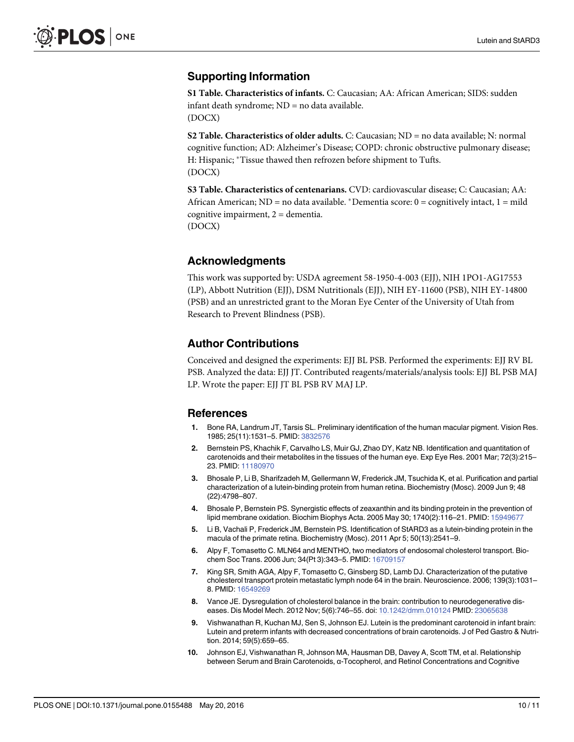# <span id="page-9-0"></span>Supporting Information

[S1 Table](http://www.plosone.org/article/fetchSingleRepresentation.action?uri=info:doi/10.1371/journal.pone.0155488.s001). Characteristics of infants. C: Caucasian; AA: African American; SIDS: sudden infant death syndrome; ND = no data available. (DOCX)

[S2 Table](http://www.plosone.org/article/fetchSingleRepresentation.action?uri=info:doi/10.1371/journal.pone.0155488.s002). Characteristics of older adults. C: Caucasian; ND = no data available; N: normal cognitive function; AD: Alzheimer's Disease; COPD: chronic obstructive pulmonary disease; H: Hispanic; \*Tissue thawed then refrozen before shipment to Tufts. (DOCX)

[S3 Table](http://www.plosone.org/article/fetchSingleRepresentation.action?uri=info:doi/10.1371/journal.pone.0155488.s003). Characteristics of centenarians. CVD: cardiovascular disease; C: Caucasian; AA: African American; ND = no data available. \*Dementia score:  $0 =$  cognitively intact,  $1 =$  mild cognitive impairment, 2 = dementia. (DOCX)

# Acknowledgments

This work was supported by: USDA agreement 58-1950-4-003 (EJJ), NIH 1PO1-AG17553 (LP), Abbott Nutrition (EJJ), DSM Nutritionals (EJJ), NIH EY-11600 (PSB), NIH EY-14800 (PSB) and an unrestricted grant to the Moran Eye Center of the University of Utah from Research to Prevent Blindness (PSB).

#### Author Contributions

Conceived and designed the experiments: EJJ BL PSB. Performed the experiments: EJJ RV BL PSB. Analyzed the data: EJJ JT. Contributed reagents/materials/analysis tools: EJJ BL PSB MAJ LP. Wrote the paper: EJJ JT BL PSB RV MAJ LP.

#### References

- [1.](#page-0-0) Bone RA, Landrum JT, Tarsis SL. Preliminary identification of the human macular pigment. Vision Res. 1985; 25(11):1531–5. PMID: [3832576](http://www.ncbi.nlm.nih.gov/pubmed/3832576)
- [2.](#page-0-0) Bernstein PS, Khachik F, Carvalho LS, Muir GJ, Zhao DY, Katz NB. Identification and quantitation of carotenoids and their metabolites in the tissues of the human eye. Exp Eye Res. 2001 Mar; 72(3):215– 23. PMID: [11180970](http://www.ncbi.nlm.nih.gov/pubmed/11180970)
- [3.](#page-1-0) Bhosale P, Li B, Sharifzadeh M, Gellermann W, Frederick JM, Tsuchida K, et al. Purification and partial characterization of a lutein-binding protein from human retina. Biochemistry (Mosc). 2009 Jun 9; 48 (22):4798–807.
- [4.](#page-8-0) Bhosale P, Bernstein PS. Synergistic effects of zeaxanthin and its binding protein in the prevention of lipid membrane oxidation. Biochim Biophys Acta. 2005 May 30; 1740(2):116–21. PMID: [15949677](http://www.ncbi.nlm.nih.gov/pubmed/15949677)
- [5.](#page-1-0) Li B, Vachali P, Frederick JM, Bernstein PS. Identification of StARD3 as a lutein-binding protein in the macula of the primate retina. Biochemistry (Mosc). 2011 Apr 5; 50(13):2541–9.
- [6.](#page-1-0) Alpy F, Tomasetto C. MLN64 and MENTHO, two mediators of endosomal cholesterol transport. Biochem Soc Trans. 2006 Jun; 34(Pt 3):343–5. PMID: [16709157](http://www.ncbi.nlm.nih.gov/pubmed/16709157)
- [7.](#page-1-0) King SR, Smith AGA, Alpy F, Tomasetto C, Ginsberg SD, Lamb DJ. Characterization of the putative cholesterol transport protein metastatic lymph node 64 in the brain. Neuroscience. 2006; 139(3):1031– 8. PMID: [16549269](http://www.ncbi.nlm.nih.gov/pubmed/16549269)
- [8.](#page-1-0) Vance JE. Dysregulation of cholesterol balance in the brain: contribution to neurodegenerative diseases. Dis Model Mech. 2012 Nov; 5(6):746–55. doi: [10.1242/dmm.010124](http://dx.doi.org/10.1242/dmm.010124) PMID: [23065638](http://www.ncbi.nlm.nih.gov/pubmed/23065638)
- [9.](#page-1-0) Vishwanathan R, Kuchan MJ, Sen S, Johnson EJ. Lutein is the predominant carotenoid in infant brain: Lutein and preterm infants with decreased concentrations of brain carotenoids. J of Ped Gastro & Nutrition. 2014; 59(5):659–65.
- [10.](#page-1-0) Johnson EJ, Vishwanathan R, Johnson MA, Hausman DB, Davey A, Scott TM, et al. Relationship between Serum and Brain Carotenoids, α-Tocopherol, and Retinol Concentrations and Cognitive